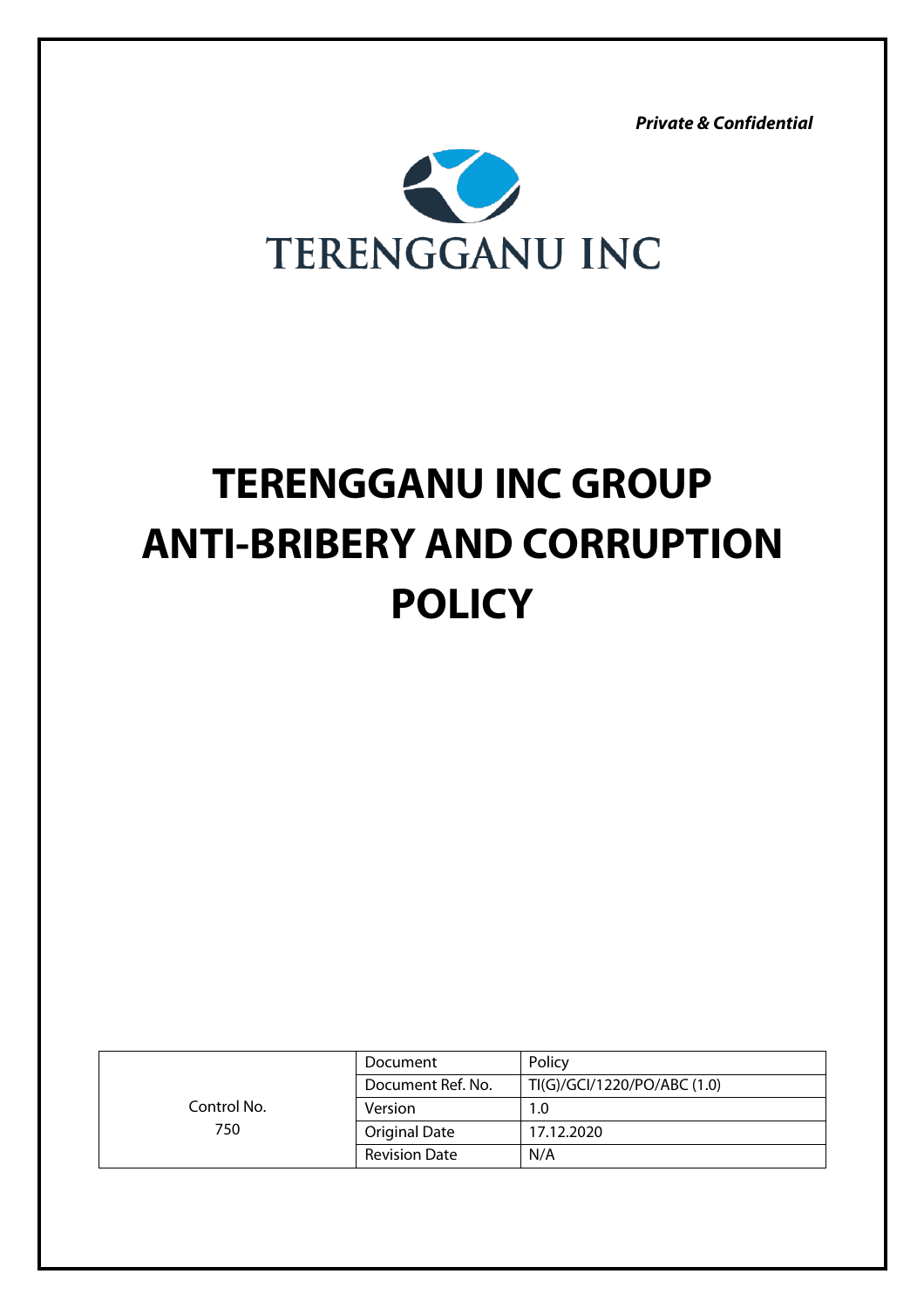*Private & Confidential*



# **TERENGGANU INC GROUP ANTI-BRIBERY AND CORRUPTION POLICY**

|                    | Document             | Policy                      |
|--------------------|----------------------|-----------------------------|
| Control No.<br>750 | Document Ref. No.    | TI(G)/GCI/1220/PO/ABC (1.0) |
|                    | Version              | 1.0                         |
|                    | <b>Original Date</b> | 17.12.2020                  |
|                    | <b>Revision Date</b> | N/A                         |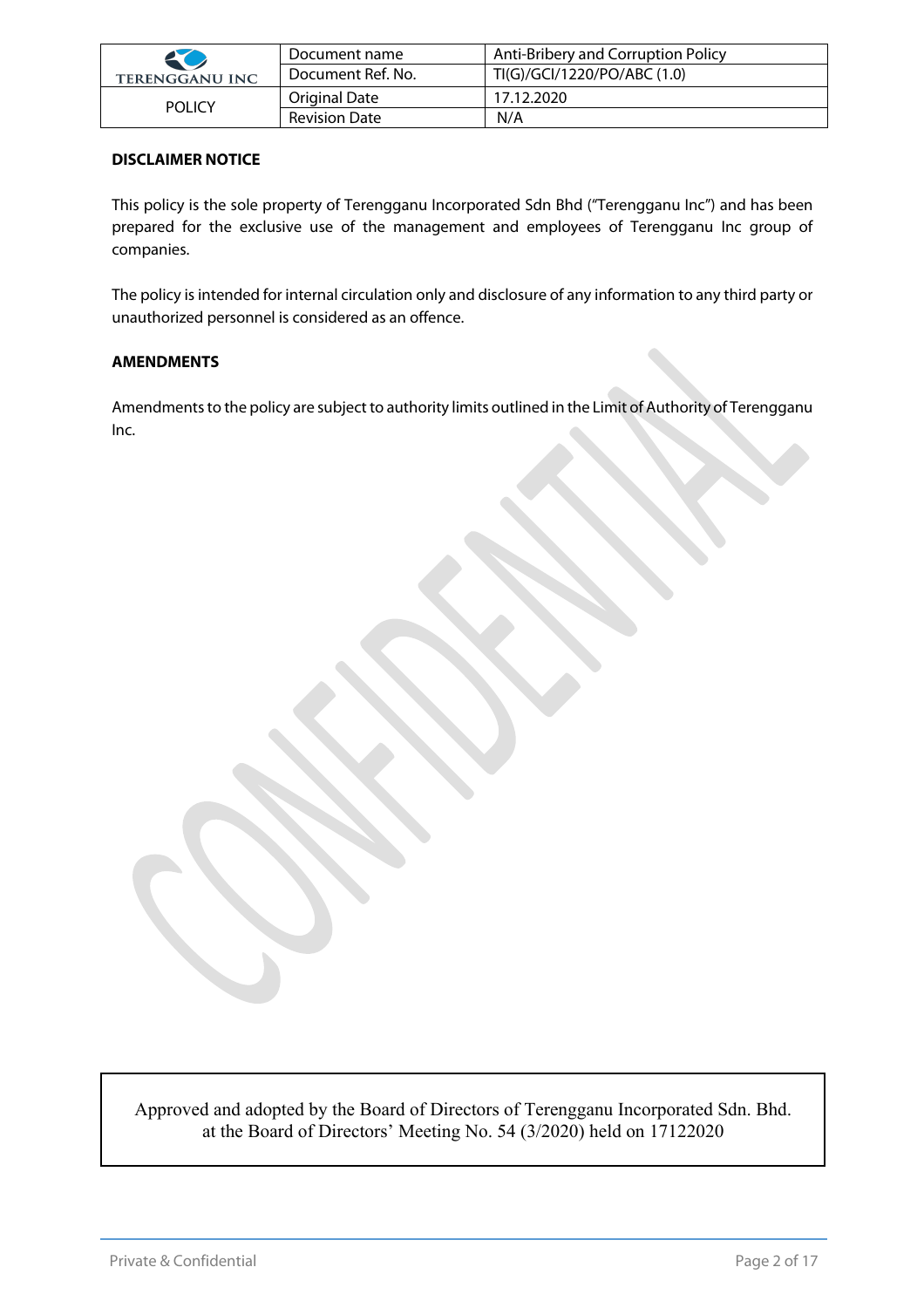| 50                    | Document name        | Anti-Bribery and Corruption Policy |
|-----------------------|----------------------|------------------------------------|
| <b>TERENGGANU INC</b> | Document Ref. No.    | TI(G)/GCI/1220/PO/ABC (1.0)        |
| <b>POLICY</b>         | Original Date        | 17.12.2020                         |
|                       | <b>Revision Date</b> | N/A                                |

#### **DISCLAIMER NOTICE**

This policy is the sole property of Terengganu Incorporated Sdn Bhd ("Terengganu Inc") and has been prepared for the exclusive use of the management and employees of Terengganu Inc group of companies.

The policy is intended for internal circulation only and disclosure of any information to any third party or unauthorized personnel is considered as an offence.

#### **AMENDMENTS**

Amendments to the policy are subject to authority limits outlined in the Limit of Authority of Terengganu Inc.

Approved and adopted by the Board of Directors of Terengganu Incorporated Sdn. Bhd. at the Board of Directors' Meeting No. 54 (3/2020) held on 17122020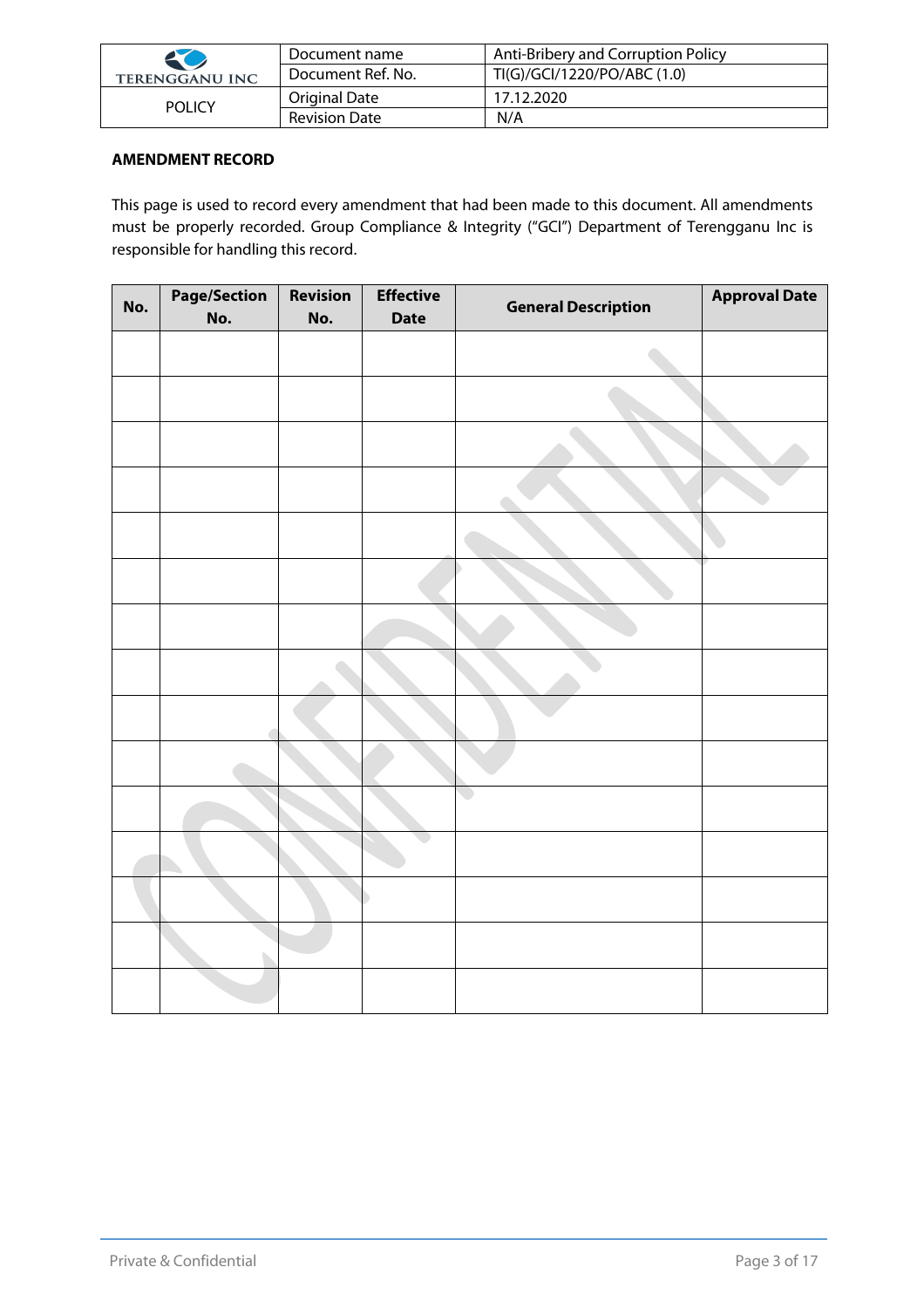| 50                    | Document name        | Anti-Bribery and Corruption Policy |
|-----------------------|----------------------|------------------------------------|
| <b>TERENGGANU INC</b> | Document Ref. No.    | TI(G)/GCI/1220/PO/ABC (1.0)        |
| <b>POLICY</b>         | Original Date        | 17.12.2020                         |
|                       | <b>Revision Date</b> | N/A                                |

#### **AMENDMENT RECORD**

This page is used to record every amendment that had been made to this document. All amendments must be properly recorded. Group Compliance & Integrity ("GCI") Department of Terengganu Inc is responsible for handling this record.

| No. | <b>Page/Section</b><br>No. | <b>Revision</b><br>No. | <b>Effective</b><br><b>Date</b> | <b>General Description</b> | <b>Approval Date</b> |
|-----|----------------------------|------------------------|---------------------------------|----------------------------|----------------------|
|     |                            |                        |                                 |                            |                      |
|     |                            |                        |                                 |                            |                      |
|     |                            |                        |                                 |                            |                      |
|     |                            |                        |                                 |                            |                      |
|     |                            |                        |                                 |                            |                      |
|     |                            |                        |                                 |                            |                      |
|     |                            |                        |                                 |                            |                      |
|     |                            |                        |                                 |                            |                      |
|     |                            |                        |                                 |                            |                      |
|     |                            |                        |                                 |                            |                      |
|     |                            |                        |                                 | $\overline{\phantom{0}}$   |                      |
|     |                            |                        |                                 |                            |                      |
|     |                            |                        |                                 |                            |                      |
|     |                            |                        |                                 |                            |                      |
|     |                            |                        |                                 |                            |                      |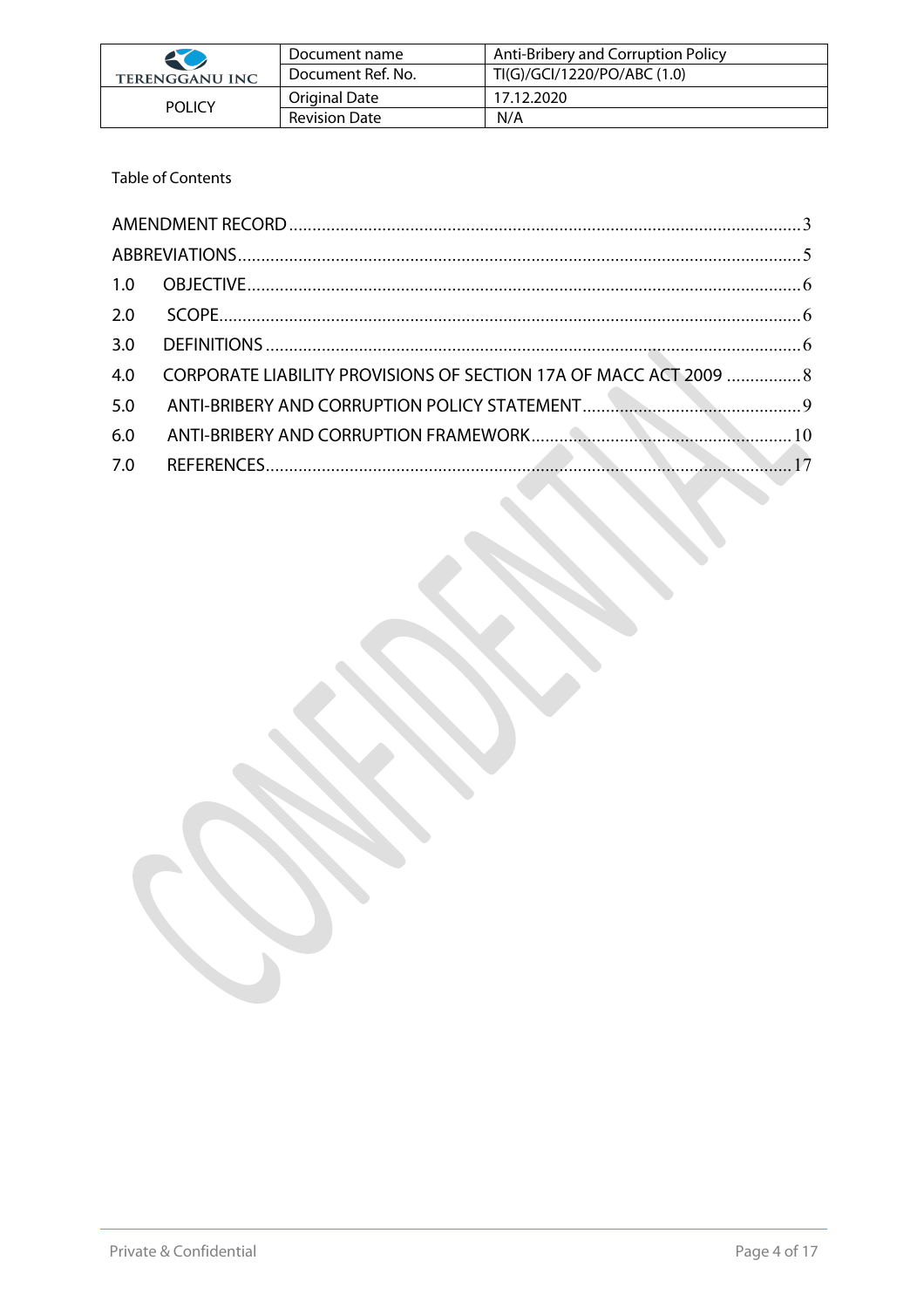| 20                    | Document name        | Anti-Bribery and Corruption Policy |
|-----------------------|----------------------|------------------------------------|
| <b>TERENGGANU INC</b> | Document Ref. No.    | TI(G)/GCI/1220/PO/ABC (1.0)        |
| <b>POLICY</b>         | Original Date        | 17.12.2020                         |
|                       | <b>Revision Date</b> | N/A                                |

# Table of Contents

| 2.0 |                                                                   |  |
|-----|-------------------------------------------------------------------|--|
| 3.0 |                                                                   |  |
| 4.0 | CORPORATE LIABILITY PROVISIONS OF SECTION 17A OF MACC ACT 2009  8 |  |
| 5.0 |                                                                   |  |
| 6.0 |                                                                   |  |
| 7.0 |                                                                   |  |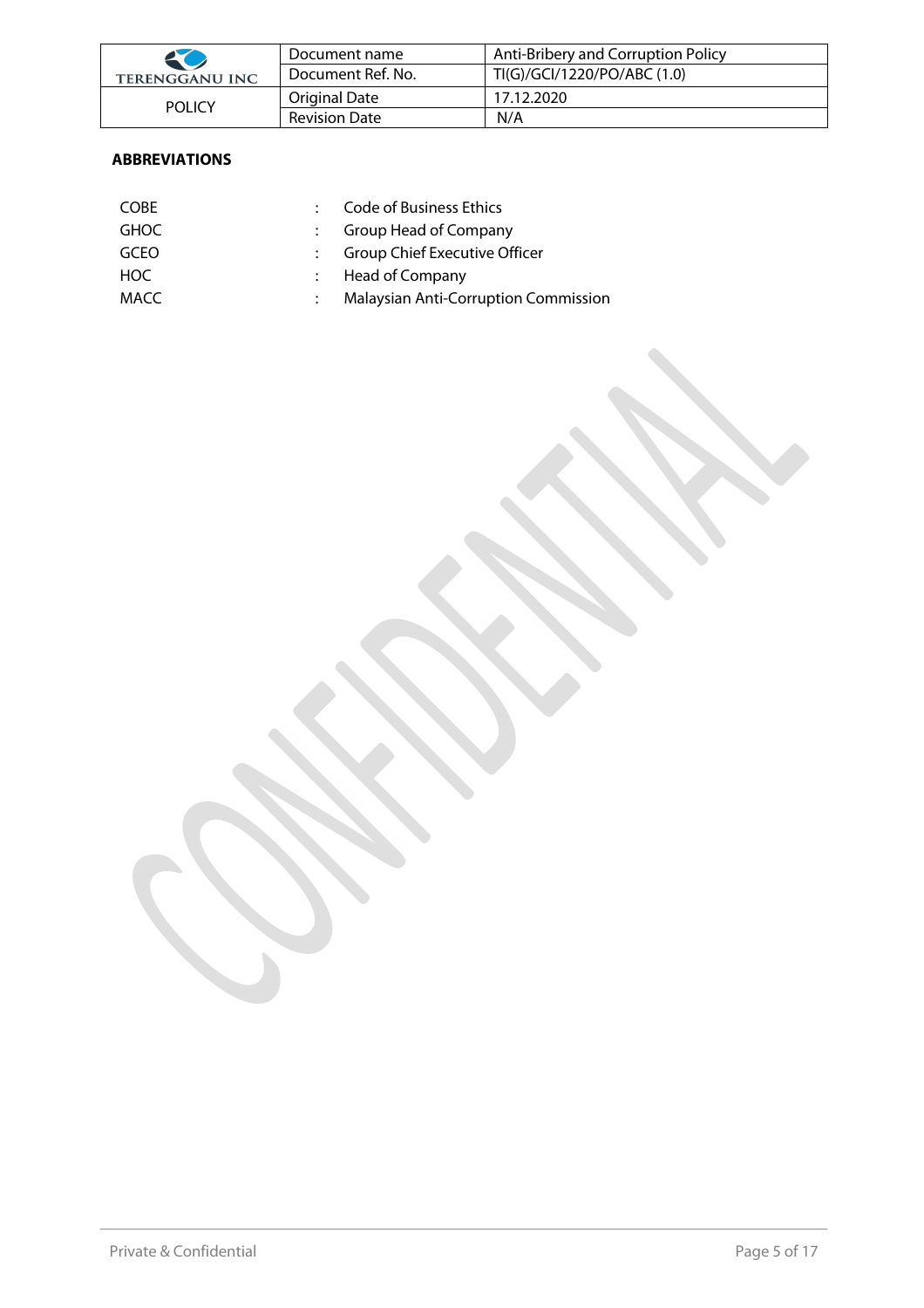| 50                    | Document name        | Anti-Bribery and Corruption Policy |
|-----------------------|----------------------|------------------------------------|
| <b>TERENGGANU INC</b> | Document Ref. No.    | TI(G)/GCI/1220/PO/ABC (1.0)        |
| <b>POLICY</b>         | Original Date        | 17.12.2020                         |
|                       | <b>Revision Date</b> | N/A                                |

# **ABBREVIATIONS**

| <b>COBE</b> | Code of Business Ethics                     |
|-------------|---------------------------------------------|
| <b>GHOC</b> | Group Head of Company                       |
| <b>GCEO</b> | : Group Chief Executive Officer             |
| HOC.        | : Head of Company                           |
| MACC        | <b>Malaysian Anti-Corruption Commission</b> |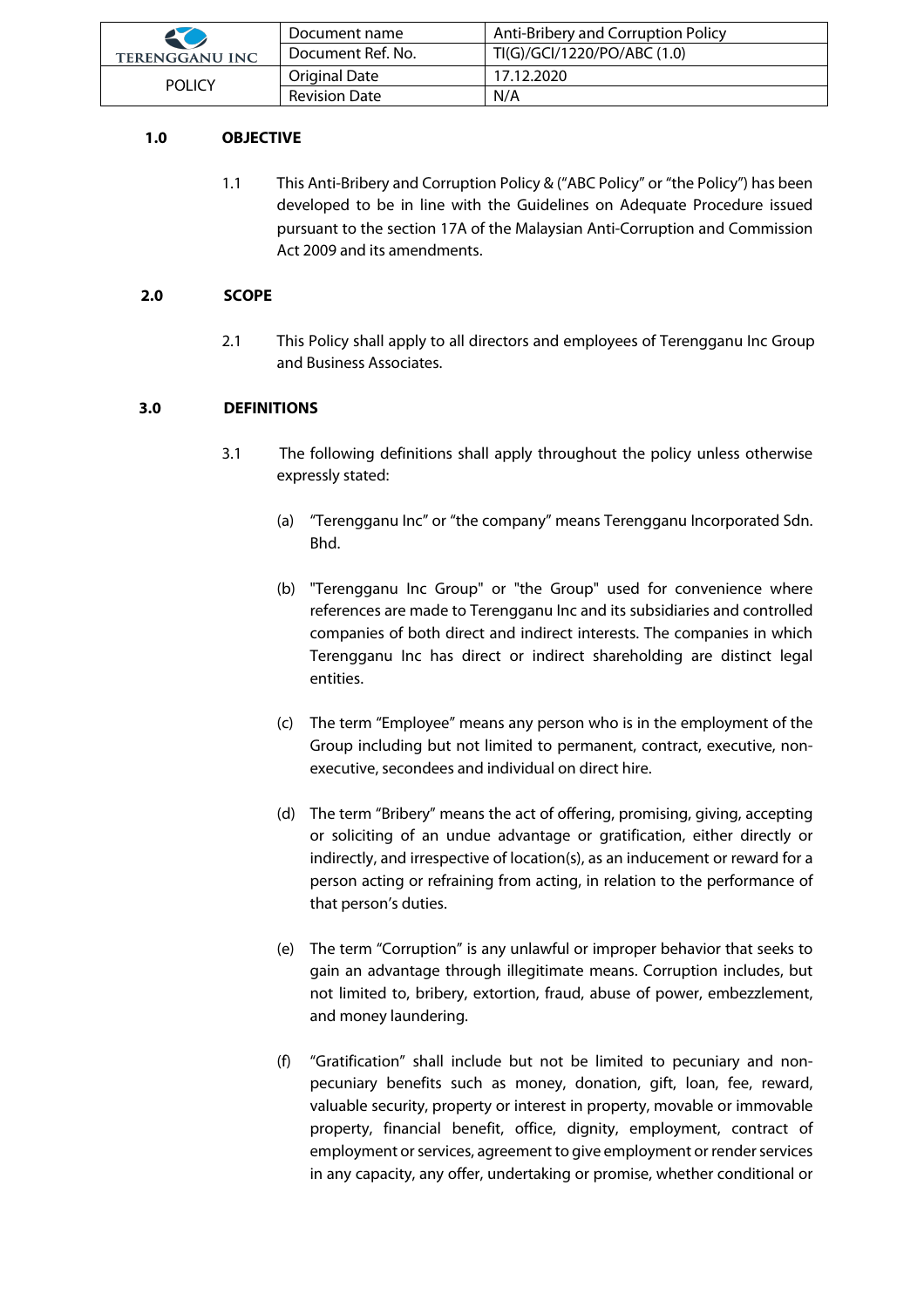| K                     | Document name        | Anti-Bribery and Corruption Policy |
|-----------------------|----------------------|------------------------------------|
| <b>TERENGGANU INC</b> | Document Ref. No.    | TI(G)/GCI/1220/PO/ABC (1.0)        |
| <b>POLICY</b>         | Original Date        | 17.12.2020                         |
|                       | <b>Revision Date</b> | N/A                                |

### **1.0 OBJECTIVE**

1.1 This Anti-Bribery and Corruption Policy & ("ABC Policy" or "the Policy") has been developed to be in line with the Guidelines on Adequate Procedure issued pursuant to the section 17A of the Malaysian Anti-Corruption and Commission Act 2009 and its amendments.

#### **2.0 SCOPE**

2.1 This Policy shall apply to all directors and employees of Terengganu Inc Group and Business Associates.

# **3.0 DEFINITIONS**

- 3.1 The following definitions shall apply throughout the policy unless otherwise expressly stated:
	- (a) "Terengganu Inc" or "the company" means Terengganu Incorporated Sdn. Bhd.
	- (b) "Terengganu Inc Group" or "the Group" used for convenience where references are made to Terengganu Inc and its subsidiaries and controlled companies of both direct and indirect interests. The companies in which Terengganu Inc has direct or indirect shareholding are distinct legal entities.
	- (c) The term "Employee" means any person who is in the employment of the Group including but not limited to permanent, contract, executive, nonexecutive, secondees and individual on direct hire.
	- (d) The term "Bribery" means the act of offering, promising, giving, accepting or soliciting of an undue advantage or gratification, either directly or indirectly, and irrespective of location(s), as an inducement or reward for a person acting or refraining from acting, in relation to the performance of that person's duties.
	- (e) The term "Corruption" is any unlawful or improper behavior that seeks to gain an advantage through illegitimate means. Corruption includes, but not limited to, bribery, extortion, fraud, abuse of power, embezzlement, and money laundering.
	- (f) "Gratification" shall include but not be limited to pecuniary and nonpecuniary benefits such as money, donation, gift, loan, fee, reward, valuable security, property or interest in property, movable or immovable property, financial benefit, office, dignity, employment, contract of employment or services, agreement to give employment or render services in any capacity, any offer, undertaking or promise, whether conditional or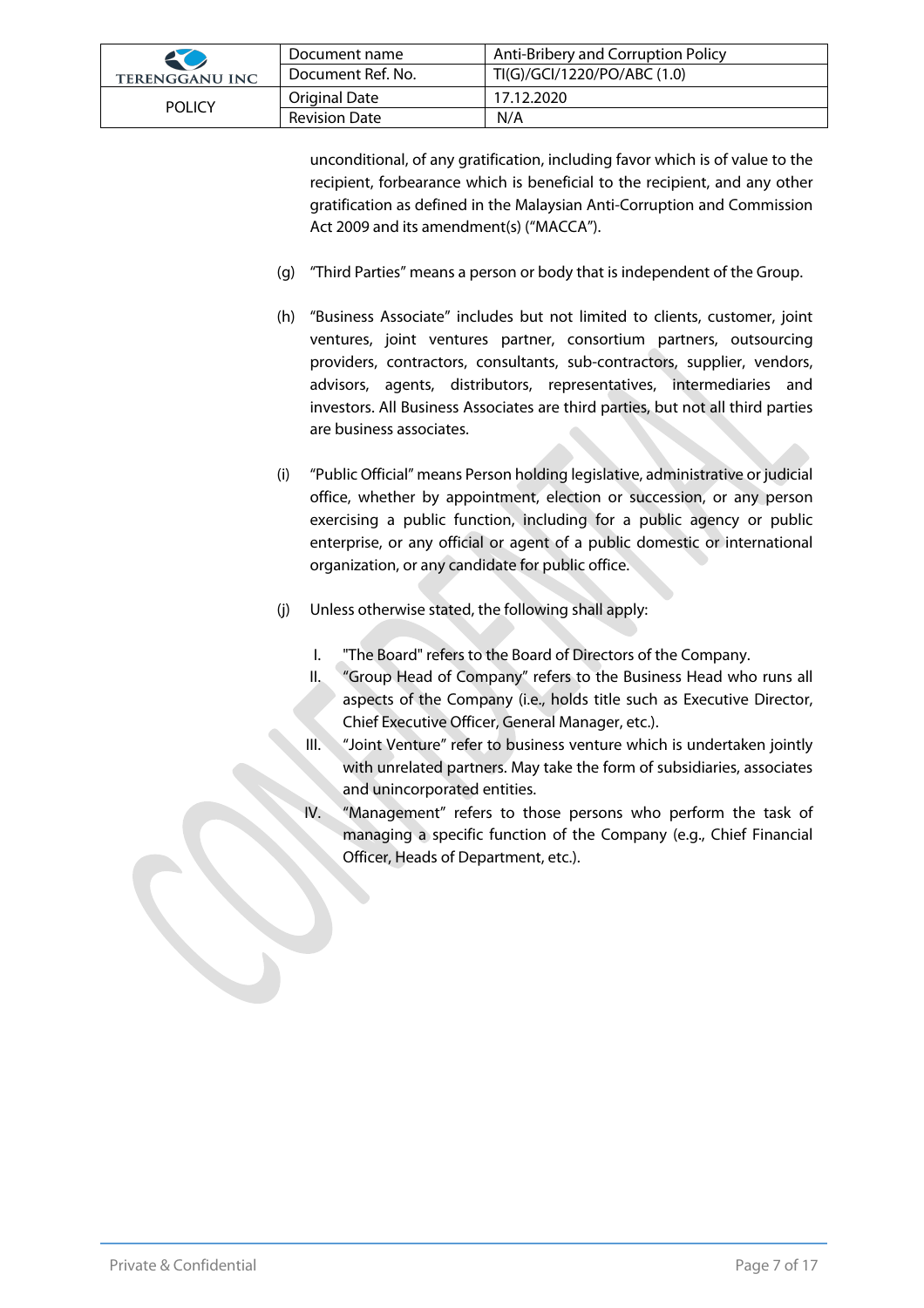| 20                    | Document name     | Anti-Bribery and Corruption Policy |
|-----------------------|-------------------|------------------------------------|
| <b>TERENGGANU INC</b> | Document Ref. No. | TI(G)/GCI/1220/PO/ABC (1.0)        |
| <b>POLICY</b>         | Original Date     | 17.12.2020                         |
|                       | Revision Date     | N/A                                |

unconditional, of any gratification, including favor which is of value to the recipient, forbearance which is beneficial to the recipient, and any other gratification as defined in the Malaysian Anti-Corruption and Commission Act 2009 and its amendment(s) ("MACCA").

- (g) "Third Parties" means a person or body that is independent of the Group.
- (h) "Business Associate" includes but not limited to clients, customer, joint ventures, joint ventures partner, consortium partners, outsourcing providers, contractors, consultants, sub-contractors, supplier, vendors, advisors, agents, distributors, representatives, intermediaries and investors. All Business Associates are third parties, but not all third parties are business associates.
- (i) "Public Official" means Person holding legislative, administrative or judicial office, whether by appointment, election or succession, or any person exercising a public function, including for a public agency or public enterprise, or any official or agent of a public domestic or international organization, or any candidate for public office.
- (j) Unless otherwise stated, the following shall apply:
	- I. "The Board" refers to the Board of Directors of the Company.
	- II. "Group Head of Company" refers to the Business Head who runs all aspects of the Company (i.e., holds title such as Executive Director, Chief Executive Officer, General Manager, etc.).
	- III. "Joint Venture" refer to business venture which is undertaken jointly with unrelated partners. May take the form of subsidiaries, associates and unincorporated entities.
	- "Management" refers to those persons who perform the task of managing a specific function of the Company (e.g., Chief Financial Officer, Heads of Department, etc.).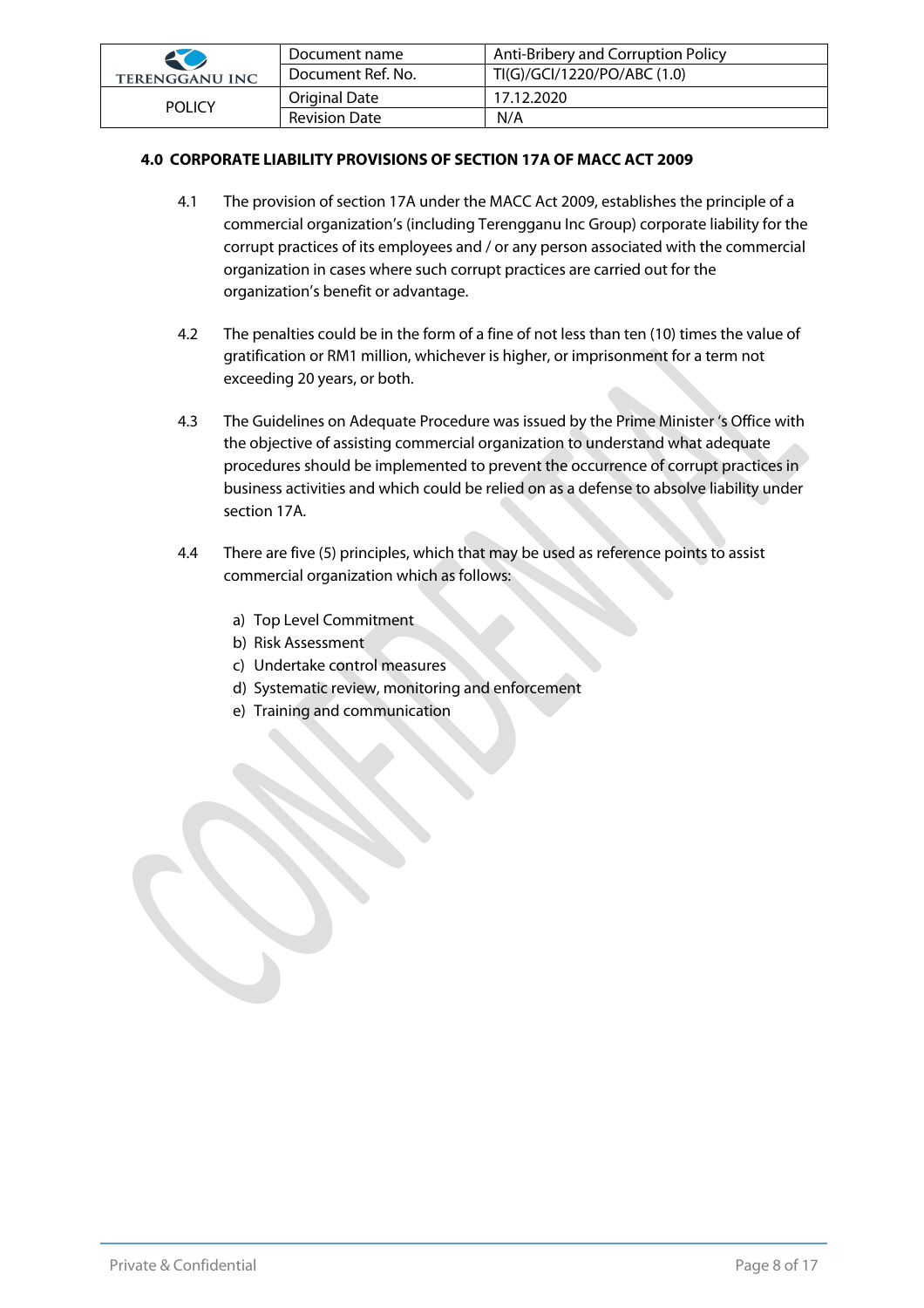| 20                    | Document name        | Anti-Bribery and Corruption Policy |
|-----------------------|----------------------|------------------------------------|
| <b>TERENGGANU INC</b> | Document Ref. No.    | TI(G)/GCI/1220/PO/ABC (1.0)        |
| <b>POLICY</b>         | Original Date        | 17.12.2020                         |
|                       | <b>Revision Date</b> | N/A                                |

#### **4.0 CORPORATE LIABILITY PROVISIONS OF SECTION 17A OF MACC ACT 2009**

- 4.1 The provision of section 17A under the MACC Act 2009, establishes the principle of a commercial organization's (including Terengganu Inc Group) corporate liability for the corrupt practices of its employees and / or any person associated with the commercial organization in cases where such corrupt practices are carried out for the organization's benefit or advantage.
- 4.2 The penalties could be in the form of a fine of not less than ten (10) times the value of gratification or RM1 million, whichever is higher, or imprisonment for a term not exceeding 20 years, or both.
- 4.3 The Guidelines on Adequate Procedure was issued by the Prime Minister 's Office with the objective of assisting commercial organization to understand what adequate procedures should be implemented to prevent the occurrence of corrupt practices in business activities and which could be relied on as a defense to absolve liability under section 17A.
- 4.4 There are five (5) principles, which that may be used as reference points to assist commercial organization which as follows:
	- a) Top Level Commitment
	- b) Risk Assessment
	- c) Undertake control measures
	- d) Systematic review, monitoring and enforcement
	- e) Training and communication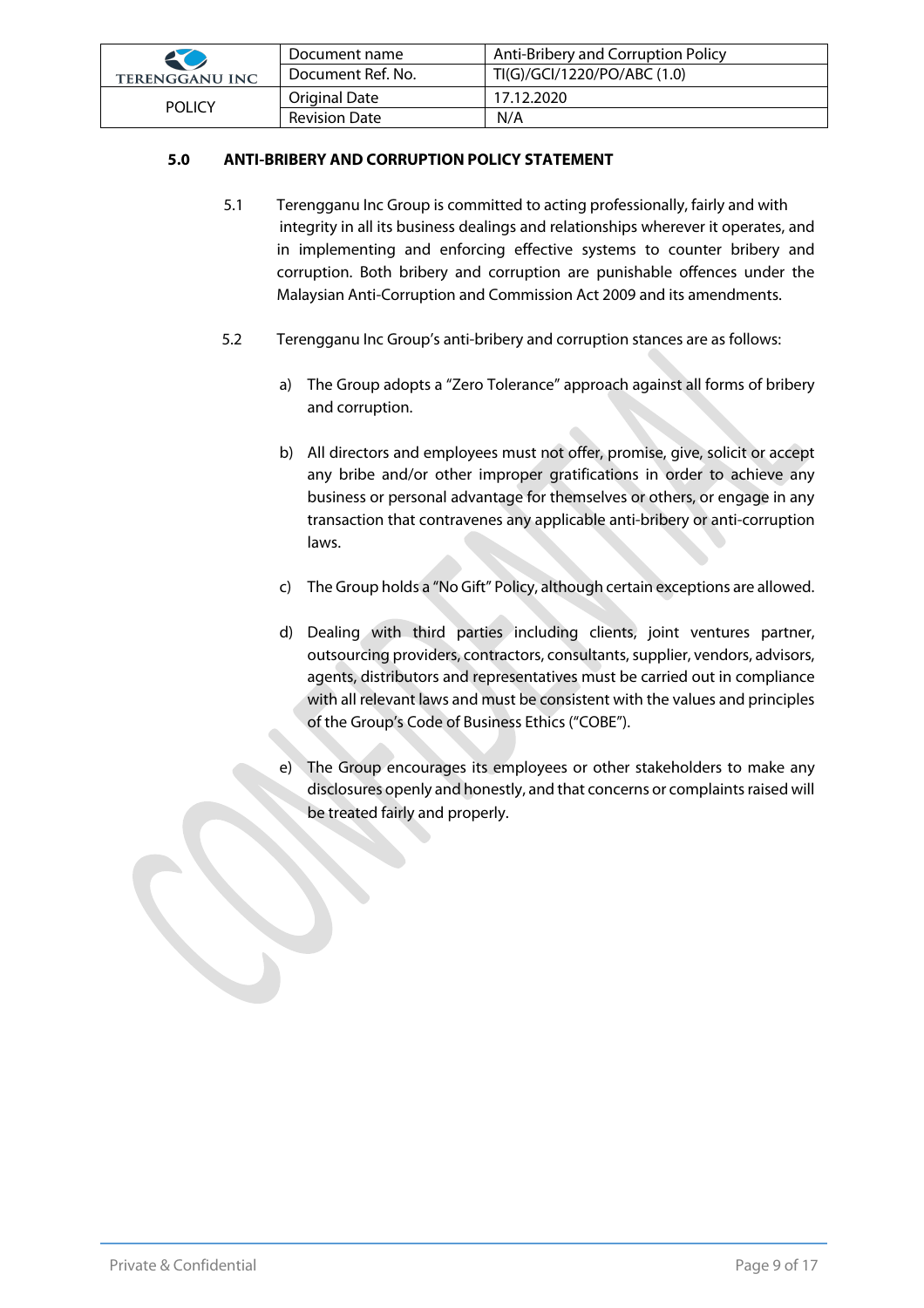| 20                    | Document name        | Anti-Bribery and Corruption Policy |
|-----------------------|----------------------|------------------------------------|
| <b>TERENGGANU INC</b> | Document Ref. No.    | TI(G)/GCI/1220/PO/ABC (1.0)        |
| <b>POLICY</b>         | Original Date        | 17.12.2020                         |
|                       | <b>Revision Date</b> | N/A                                |

#### **5.0 ANTI-BRIBERY AND CORRUPTION POLICY STATEMENT**

- 5.1 Terengganu Inc Group is committed to acting professionally, fairly and with integrity in all its business dealings and relationships wherever it operates, and in implementing and enforcing effective systems to counter bribery and corruption. Both bribery and corruption are punishable offences under the Malaysian Anti-Corruption and Commission Act 2009 and its amendments.
- 5.2 Terengganu Inc Group's anti-bribery and corruption stances are as follows:
	- a) The Group adopts a "Zero Tolerance" approach against all forms of bribery and corruption.
	- b) All directors and employees must not offer, promise, give, solicit or accept any bribe and/or other improper gratifications in order to achieve any business or personal advantage for themselves or others, or engage in any transaction that contravenes any applicable anti-bribery or anti-corruption laws.
	- c) The Group holds a "No Gift" Policy, although certain exceptions are allowed.
	- d) Dealing with third parties including clients, joint ventures partner, outsourcing providers, contractors, consultants, supplier, vendors, advisors, agents, distributors and representatives must be carried out in compliance with all relevant laws and must be consistent with the values and principles of the Group's Code of Business Ethics ("COBE").
	- e) The Group encourages its employees or other stakeholders to make any disclosures openly and honestly, and that concerns or complaints raised will be treated fairly and properly.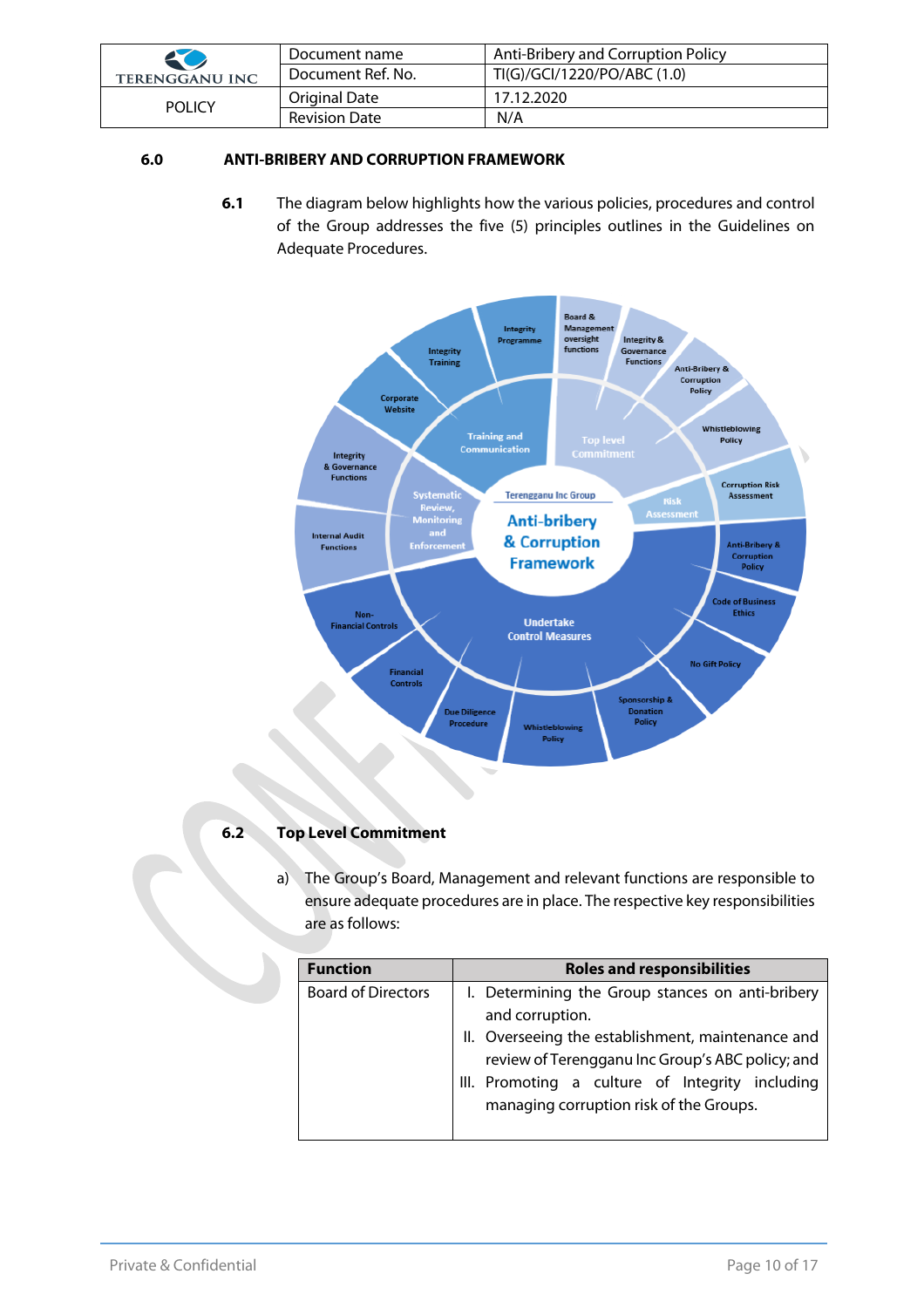| 20                    | Document name        | Anti-Bribery and Corruption Policy |
|-----------------------|----------------------|------------------------------------|
| <b>TERENGGANU INC</b> | Document Ref. No.    | TI(G)/GCI/1220/PO/ABC (1.0)        |
| <b>POLICY</b>         | Original Date        | 17.12.2020                         |
|                       | <b>Revision Date</b> | N/A                                |

## **6.0 ANTI-BRIBERY AND CORRUPTION FRAMEWORK**

**6.1** The diagram below highlights how the various policies, procedures and control of the Group addresses the five (5) principles outlines in the Guidelines on Adequate Procedures.



#### **6.2 Top Level Commitment**

a) The Group's Board, Management and relevant functions are responsible to ensure adequate procedures are in place. The respective key responsibilities are as follows:

| <b>Function</b>           | <b>Roles and responsibilities</b>                                                                                                                                                                                                                                          |  |
|---------------------------|----------------------------------------------------------------------------------------------------------------------------------------------------------------------------------------------------------------------------------------------------------------------------|--|
| <b>Board of Directors</b> | I. Determining the Group stances on anti-bribery<br>and corruption.<br>II. Overseeing the establishment, maintenance and<br>review of Terengganu Inc Group's ABC policy; and<br>III. Promoting a culture of Integrity including<br>managing corruption risk of the Groups. |  |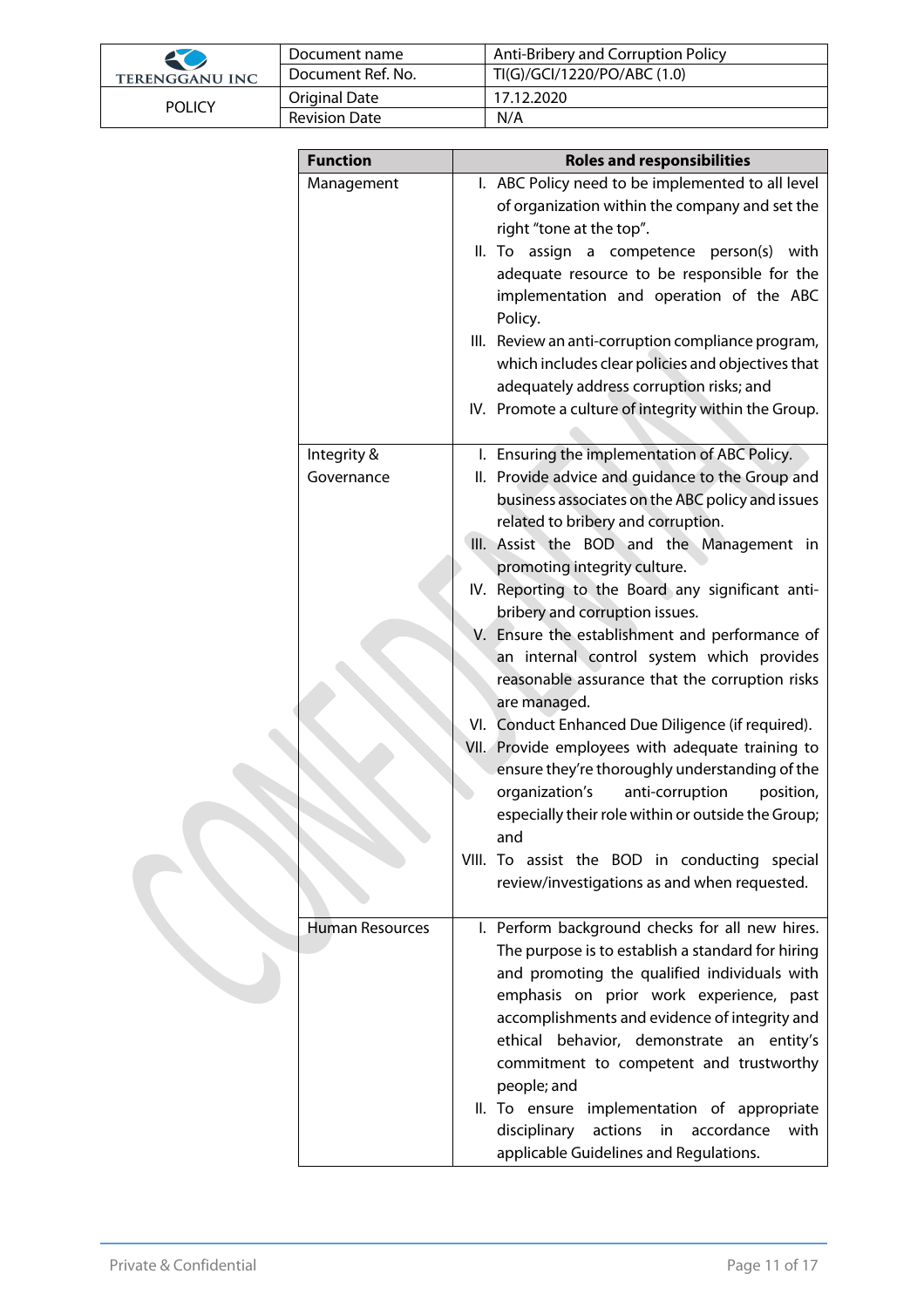| 20                    | Document name        | Anti-Bribery and Corruption Policy |
|-----------------------|----------------------|------------------------------------|
| <b>TERENGGANU INC</b> | Document Ref. No.    | TI(G)/GCI/1220/PO/ABC (1.0)        |
| <b>POLICY</b>         | <b>Original Date</b> | 17.12.2020                         |
|                       | <b>Revision Date</b> | N/A                                |

| <b>Function</b>        | <b>Roles and responsibilities</b>                                             |
|------------------------|-------------------------------------------------------------------------------|
| Management             | I. ABC Policy need to be implemented to all level                             |
|                        | of organization within the company and set the                                |
|                        | right "tone at the top".                                                      |
|                        | II. To assign a competence person(s) with                                     |
|                        | adequate resource to be responsible for the                                   |
|                        | implementation and operation of the ABC                                       |
|                        | Policy.                                                                       |
|                        | III. Review an anti-corruption compliance program,                            |
|                        | which includes clear policies and objectives that                             |
|                        | adequately address corruption risks; and                                      |
|                        | IV. Promote a culture of integrity within the Group.                          |
|                        |                                                                               |
| Integrity &            | I. Ensuring the implementation of ABC Policy.                                 |
| Governance             | II. Provide advice and guidance to the Group and                              |
|                        | business associates on the ABC policy and issues                              |
|                        | related to bribery and corruption.                                            |
|                        | III. Assist the BOD and the Management in                                     |
|                        | promoting integrity culture.                                                  |
|                        | IV. Reporting to the Board any significant anti-                              |
|                        | bribery and corruption issues.                                                |
|                        | V. Ensure the establishment and performance of                                |
|                        | an internal control system which provides                                     |
|                        | reasonable assurance that the corruption risks                                |
|                        | are managed.                                                                  |
|                        | VI. Conduct Enhanced Due Diligence (if required).                             |
|                        | VII. Provide employees with adequate training to                              |
|                        | ensure they're thoroughly understanding of the<br>organization's<br>position, |
|                        | anti-corruption<br>especially their role within or outside the Group;         |
|                        | and                                                                           |
|                        | VIII. To assist the BOD in conducting special                                 |
|                        | review/investigations as and when requested.                                  |
|                        |                                                                               |
| <b>Human Resources</b> | I. Perform background checks for all new hires.                               |
|                        | The purpose is to establish a standard for hiring                             |
|                        | and promoting the qualified individuals with                                  |
|                        | emphasis on prior work experience, past                                       |
|                        | accomplishments and evidence of integrity and                                 |
|                        | ethical behavior, demonstrate an entity's                                     |
|                        | commitment to competent and trustworthy                                       |
|                        | people; and                                                                   |
|                        | II. To ensure implementation of appropriate                                   |
|                        | actions<br>in<br>disciplinary<br>accordance<br>with                           |
|                        | applicable Guidelines and Regulations.                                        |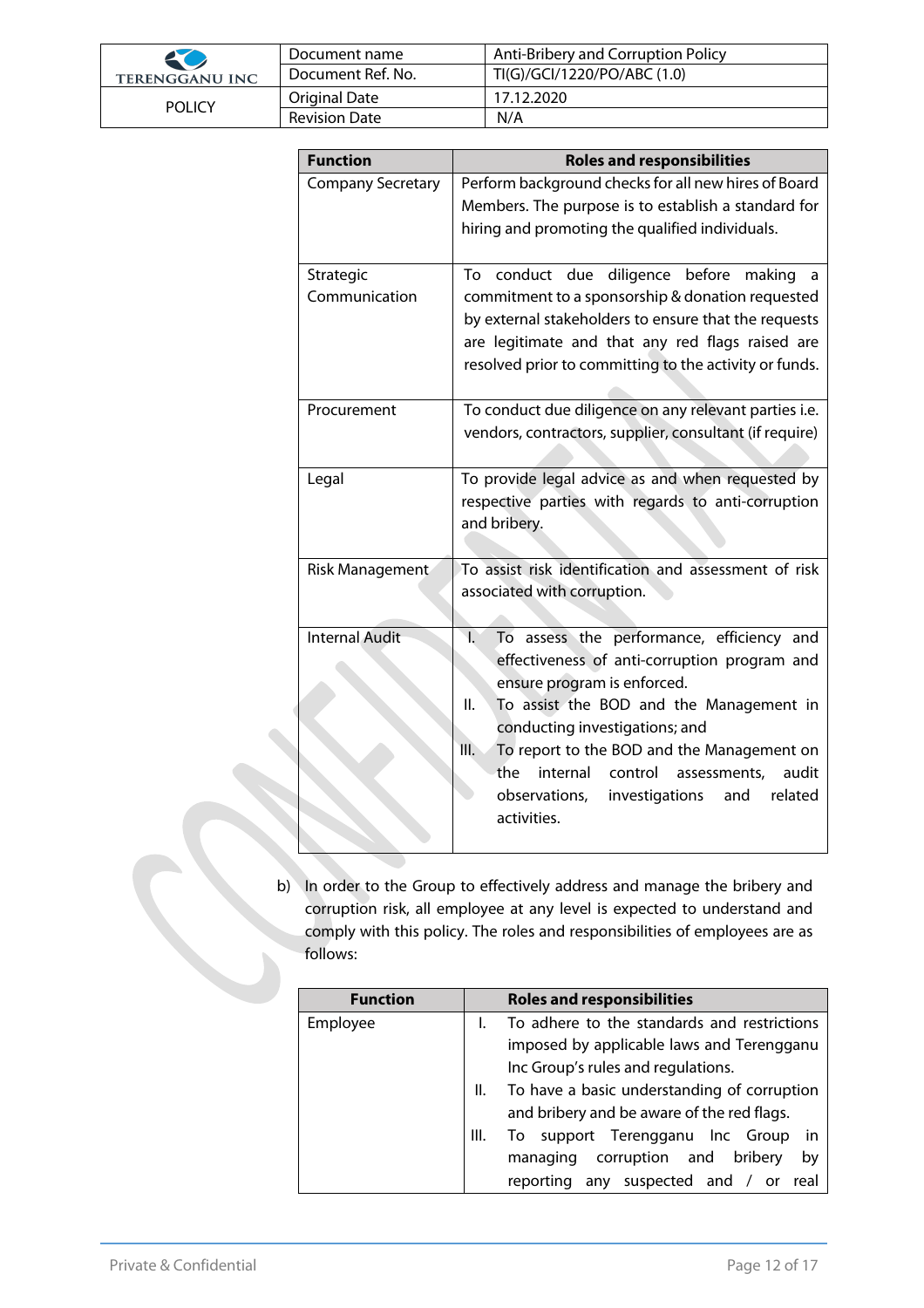| 50                    | Document name        | Anti-Bribery and Corruption Policy |
|-----------------------|----------------------|------------------------------------|
| <b>TERENGGANU INC</b> | Document Ref. No.    | TI(G)/GCI/1220/PO/ABC (1.0)        |
| <b>POLICY</b>         | Original Date        | 17.12.2020                         |
|                       | <b>Revision Date</b> | N/A                                |

| <b>Function</b>            | <b>Roles and responsibilities</b>                                                                                                                                                                                                                                                                                                                                                                                 |
|----------------------------|-------------------------------------------------------------------------------------------------------------------------------------------------------------------------------------------------------------------------------------------------------------------------------------------------------------------------------------------------------------------------------------------------------------------|
| <b>Company Secretary</b>   | Perform background checks for all new hires of Board<br>Members. The purpose is to establish a standard for<br>hiring and promoting the qualified individuals.                                                                                                                                                                                                                                                    |
| Strategic<br>Communication | To conduct due diligence before<br>making<br>a<br>commitment to a sponsorship & donation requested<br>by external stakeholders to ensure that the requests<br>are legitimate and that any red flags raised are<br>resolved prior to committing to the activity or funds.                                                                                                                                          |
| Procurement                | To conduct due diligence on any relevant parties i.e.<br>vendors, contractors, supplier, consultant (if require)                                                                                                                                                                                                                                                                                                  |
| Legal                      | To provide legal advice as and when requested by<br>respective parties with regards to anti-corruption<br>and bribery.                                                                                                                                                                                                                                                                                            |
| Risk Management            | To assist risk identification and assessment of risk<br>associated with corruption.                                                                                                                                                                                                                                                                                                                               |
| <b>Internal Audit</b>      | $\overline{1}$ .<br>To assess the performance, efficiency and<br>effectiveness of anti-corruption program and<br>ensure program is enforced.<br>II.<br>To assist the BOD and the Management in<br>conducting investigations; and<br>III.<br>To report to the BOD and the Management on<br>the<br>internal<br>control<br>assessments,<br>audit<br>observations,<br>investigations<br>related<br>and<br>activities. |

b) In order to the Group to effectively address and manage the bribery and corruption risk, all employee at any level is expected to understand and comply with this policy. The roles and responsibilities of employees are as follows:

| <b>Function</b> |      | <b>Roles and responsibilities</b>              |  |
|-----------------|------|------------------------------------------------|--|
| Employee        |      | To adhere to the standards and restrictions    |  |
|                 |      | imposed by applicable laws and Terengganu      |  |
|                 |      | Inc Group's rules and regulations.             |  |
|                 | Ш.   | To have a basic understanding of corruption    |  |
|                 |      | and bribery and be aware of the red flags.     |  |
|                 | III. | To support Terengganu Inc Group<br>-in         |  |
|                 |      | corruption and<br>by<br>bribery<br>managing    |  |
|                 |      | any suspected and /<br>reporting<br>real<br>or |  |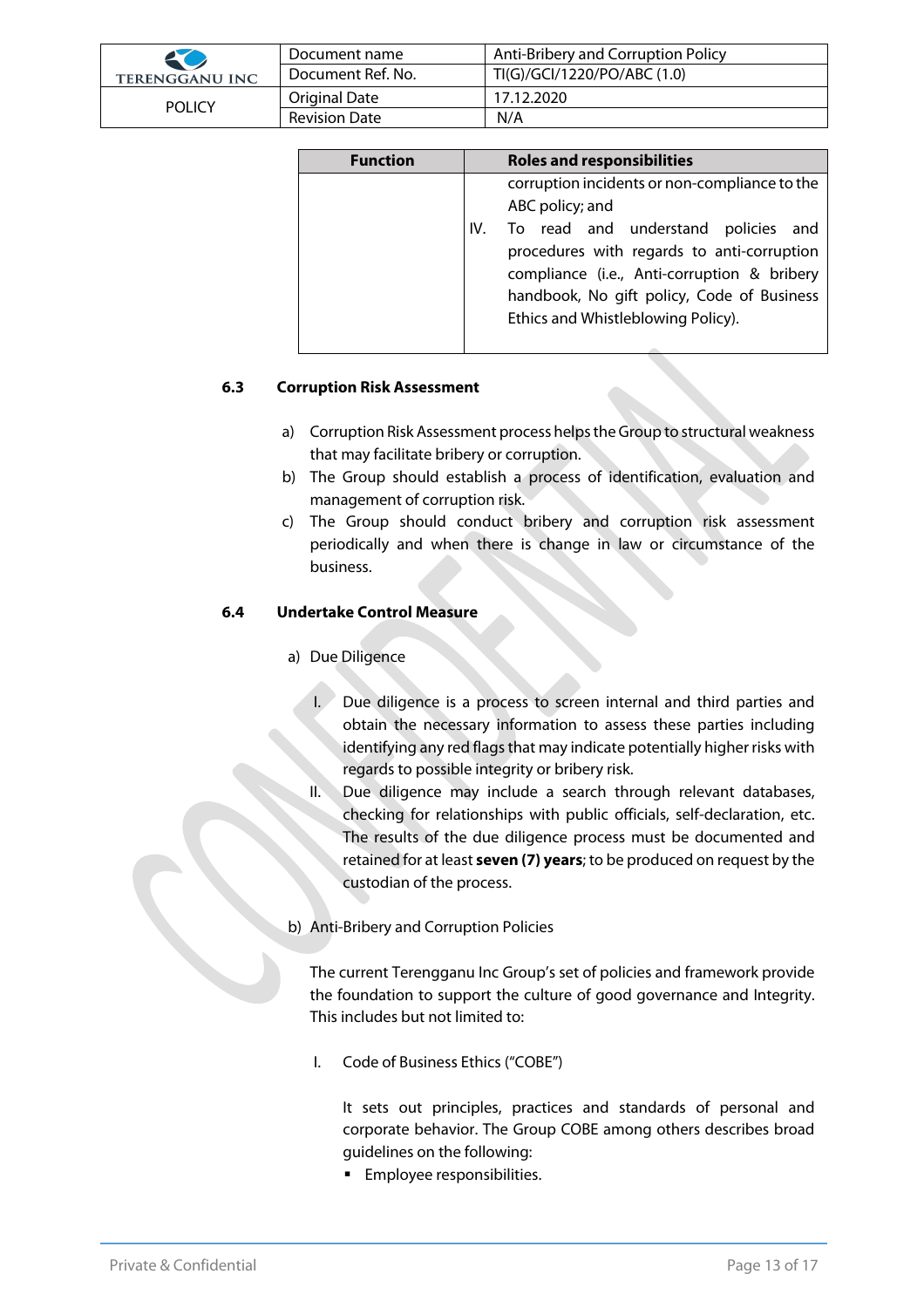| 50                    | Document name        | Anti-Bribery and Corruption Policy |
|-----------------------|----------------------|------------------------------------|
| <b>TERENGGANU INC</b> | Document Ref. No.    | TI(G)/GCI/1220/PO/ABC (1.0)        |
| <b>POLICY</b>         | Original Date        | 17.12.2020                         |
|                       | <b>Revision Date</b> | N/A                                |

| <b>Function</b> | <b>Roles and responsibilities</b>                                                                                                                                                                                                                                                               |  |  |
|-----------------|-------------------------------------------------------------------------------------------------------------------------------------------------------------------------------------------------------------------------------------------------------------------------------------------------|--|--|
|                 | corruption incidents or non-compliance to the<br>ABC policy; and<br>To read and understand policies and<br>IV.<br>procedures with regards to anti-corruption<br>compliance (i.e., Anti-corruption & bribery<br>handbook, No gift policy, Code of Business<br>Ethics and Whistleblowing Policy). |  |  |

#### **6.3 Corruption Risk Assessment**

- a) Corruption Risk Assessment process helps the Group to structural weakness that may facilitate bribery or corruption.
- b) The Group should establish a process of identification, evaluation and management of corruption risk.
- c) The Group should conduct bribery and corruption risk assessment periodically and when there is change in law or circumstance of the business.

#### **6.4 Undertake Control Measure**

- a) Due Diligence
	- I. Due diligence is a process to screen internal and third parties and obtain the necessary information to assess these parties including identifying any red flags that may indicate potentially higher risks with regards to possible integrity or bribery risk.
	- Due diligence may include a search through relevant databases, checking for relationships with public officials, self-declaration, etc. The results of the due diligence process must be documented and retained for at least **seven (7) years**; to be produced on request by the custodian of the process.
- b) Anti-Bribery and Corruption Policies

The current Terengganu Inc Group's set of policies and framework provide the foundation to support the culture of good governance and Integrity. This includes but not limited to:

I. Code of Business Ethics ("COBE")

It sets out principles, practices and standards of personal and corporate behavior. The Group COBE among others describes broad guidelines on the following:

**Employee responsibilities.**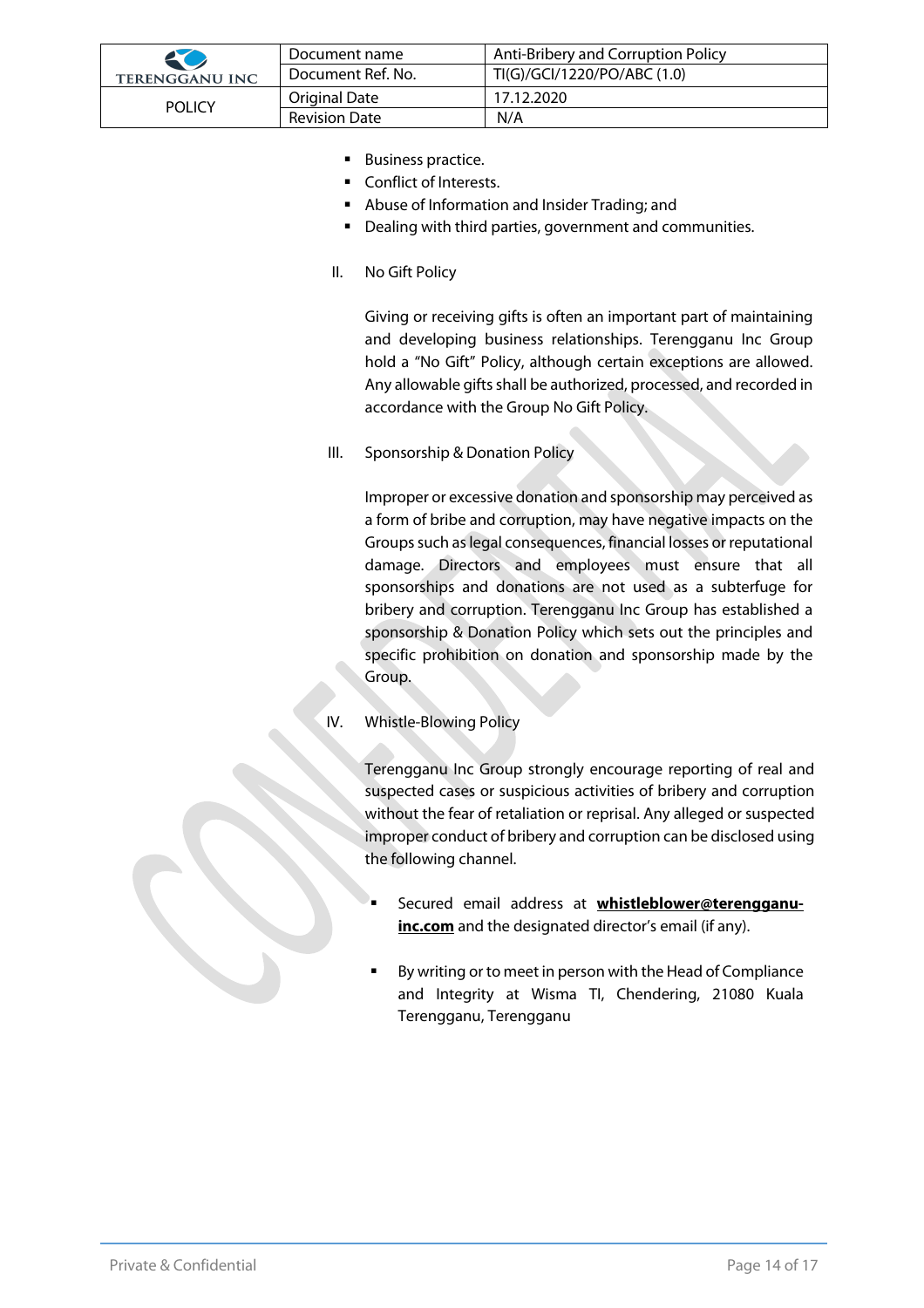| 20                    | Document name     | Anti-Bribery and Corruption Policy |
|-----------------------|-------------------|------------------------------------|
| <b>TERENGGANU INC</b> | Document Ref. No. | TI(G)/GCI/1220/PO/ABC (1.0)        |
| <b>POLICY</b>         | Original Date     | 17.12.2020                         |
|                       | Revision Date     | N/A                                |

- Business practice.
- Conflict of Interests.
- Abuse of Information and Insider Trading; and
- Dealing with third parties, government and communities.
- II. No Gift Policy

Giving or receiving gifts is often an important part of maintaining and developing business relationships. Terengganu Inc Group hold a "No Gift" Policy, although certain exceptions are allowed. Any allowable gifts shall be authorized, processed, and recorded in accordance with the Group No Gift Policy.

III. Sponsorship & Donation Policy

Improper or excessive donation and sponsorship may perceived as a form of bribe and corruption, may have negative impacts on the Groups such as legal consequences, financial losses or reputational damage. Directors and employees must ensure that all sponsorships and donations are not used as a subterfuge for bribery and corruption. Terengganu Inc Group has established a sponsorship & Donation Policy which sets out the principles and specific prohibition on donation and sponsorship made by the Group.

IV. Whistle-Blowing Policy

Terengganu Inc Group strongly encourage reporting of real and suspected cases or suspicious activities of bribery and corruption without the fear of retaliation or reprisal. Any alleged or suspected improper conduct of bribery and corruption can be disclosed using the following channel.

- § Secured email address at **whistleblower@terengganuinc.com** and the designated director's email (if any).
- § By writing or to meet in person with the Head of Compliance and Integrity at Wisma TI, Chendering, 21080 Kuala Terengganu, Terengganu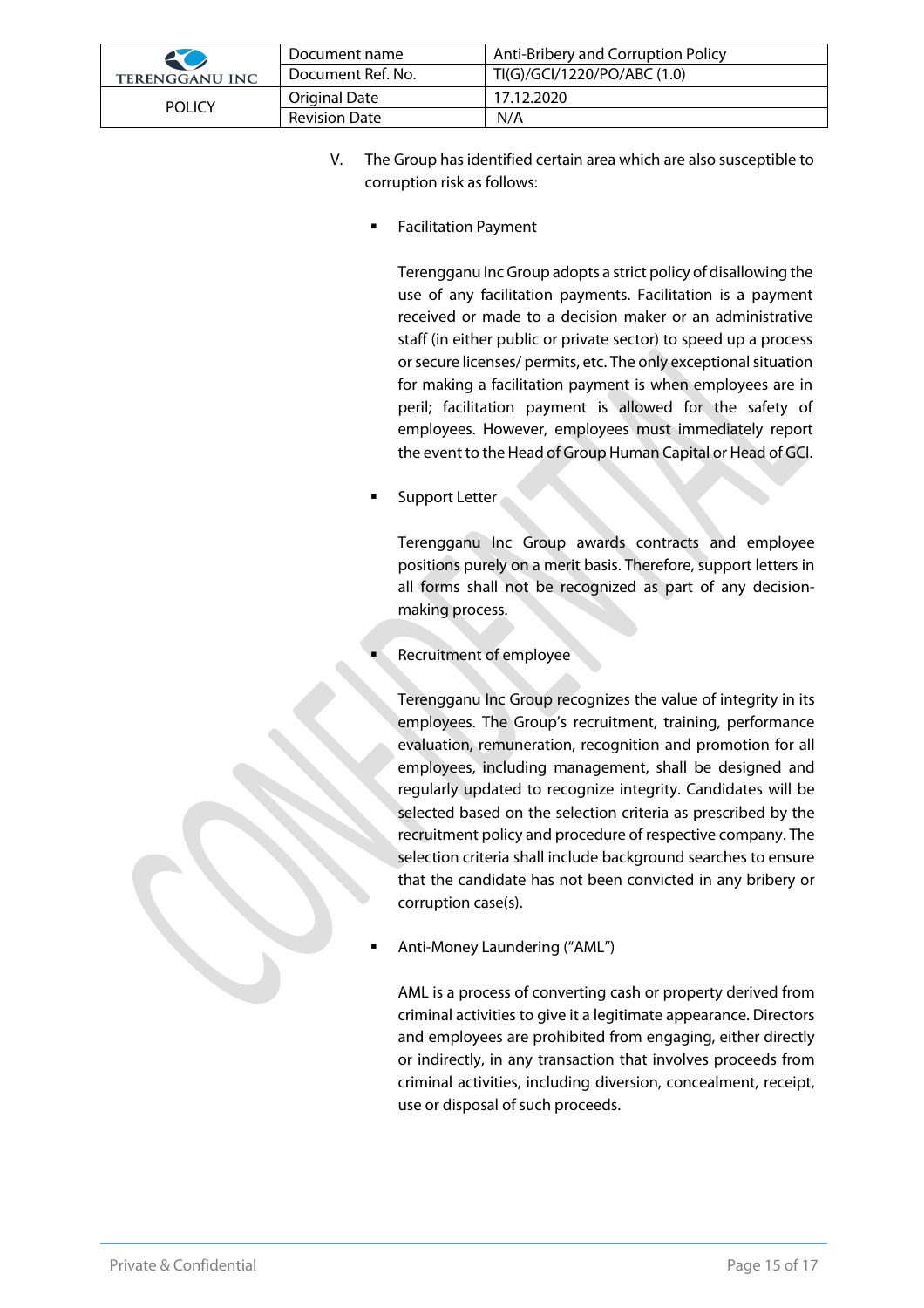| 20                    | Document name        | Anti-Bribery and Corruption Policy |
|-----------------------|----------------------|------------------------------------|
| <b>TERENGGANU INC</b> | Document Ref. No.    | TI(G)/GCI/1220/PO/ABC (1.0)        |
| <b>POLICY</b>         | Original Date        | 17.12.2020                         |
|                       | <b>Revision Date</b> | N/A                                |

- V. The Group has identified certain area which are also susceptible to corruption risk as follows:
	- § Facilitation Payment

Terengganu Inc Group adopts a strict policy of disallowing the use of any facilitation payments. Facilitation is a payment received or made to a decision maker or an administrative staff (in either public or private sector) to speed up a process or secure licenses/ permits, etc. The only exceptional situation for making a facilitation payment is when employees are in peril; facilitation payment is allowed for the safety of employees. However, employees must immediately report the event to the Head of Group Human Capital or Head of GCI.

Support Letter

Terengganu Inc Group awards contracts and employee positions purely on a merit basis. Therefore, support letters in all forms shall not be recognized as part of any decisionmaking process.

§ Recruitment of employee

Terengganu Inc Group recognizes the value of integrity in its employees. The Group's recruitment, training, performance evaluation, remuneration, recognition and promotion for all employees, including management, shall be designed and regularly updated to recognize integrity. Candidates will be selected based on the selection criteria as prescribed by the recruitment policy and procedure of respective company. The selection criteria shall include background searches to ensure that the candidate has not been convicted in any bribery or corruption case(s).

§ Anti-Money Laundering ("AML")

AML is a process of converting cash or property derived from criminal activities to give it a legitimate appearance. Directors and employees are prohibited from engaging, either directly or indirectly, in any transaction that involves proceeds from criminal activities, including diversion, concealment, receipt, use or disposal of such proceeds.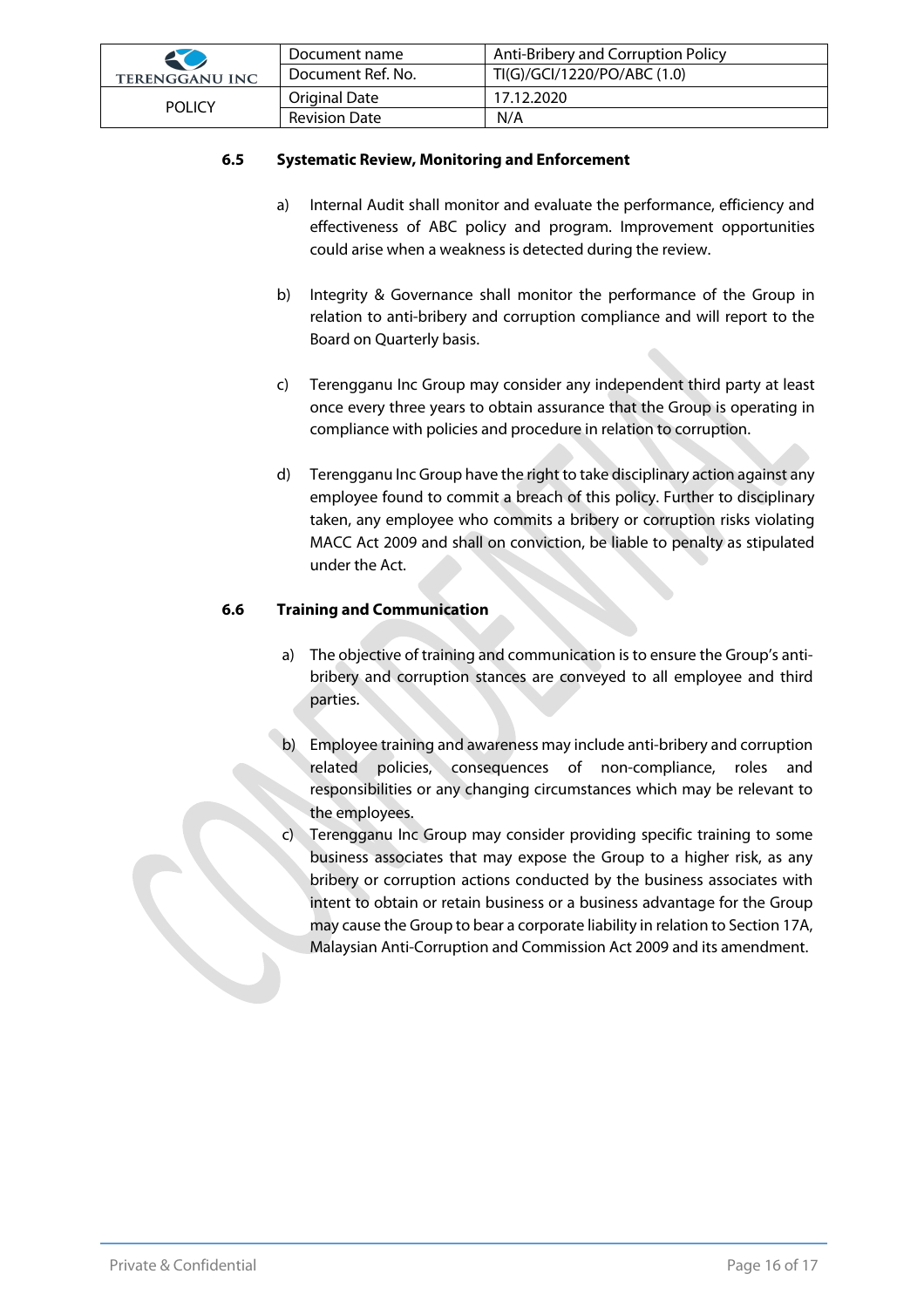| 20                    | Document name     | Anti-Bribery and Corruption Policy |
|-----------------------|-------------------|------------------------------------|
| <b>TERENGGANU INC</b> | Document Ref. No. | TI(G)/GCI/1220/PO/ABC (1.0)        |
| <b>POLICY</b>         | Original Date     | 17.12.2020                         |
|                       | Revision Date     | N/A                                |

#### **6.5 Systematic Review, Monitoring and Enforcement**

- a) Internal Audit shall monitor and evaluate the performance, efficiency and effectiveness of ABC policy and program. Improvement opportunities could arise when a weakness is detected during the review.
- b) Integrity & Governance shall monitor the performance of the Group in relation to anti-bribery and corruption compliance and will report to the Board on Quarterly basis.
- c) Terengganu Inc Group may consider any independent third party at least once every three years to obtain assurance that the Group is operating in compliance with policies and procedure in relation to corruption.
- d) Terengganu Inc Group have the right to take disciplinary action against any employee found to commit a breach of this policy. Further to disciplinary taken, any employee who commits a bribery or corruption risks violating MACC Act 2009 and shall on conviction, be liable to penalty as stipulated under the Act.

#### **6.6 Training and Communication**

- a) The objective of training and communication is to ensure the Group's antibribery and corruption stances are conveyed to all employee and third parties.
- b) Employee training and awareness may include anti-bribery and corruption related policies, consequences of non-compliance, roles and responsibilities or any changing circumstances which may be relevant to the employees.
- Terengganu Inc Group may consider providing specific training to some business associates that may expose the Group to a higher risk, as any bribery or corruption actions conducted by the business associates with intent to obtain or retain business or a business advantage for the Group may cause the Group to bear a corporate liability in relation to Section 17A, Malaysian Anti-Corruption and Commission Act 2009 and its amendment.